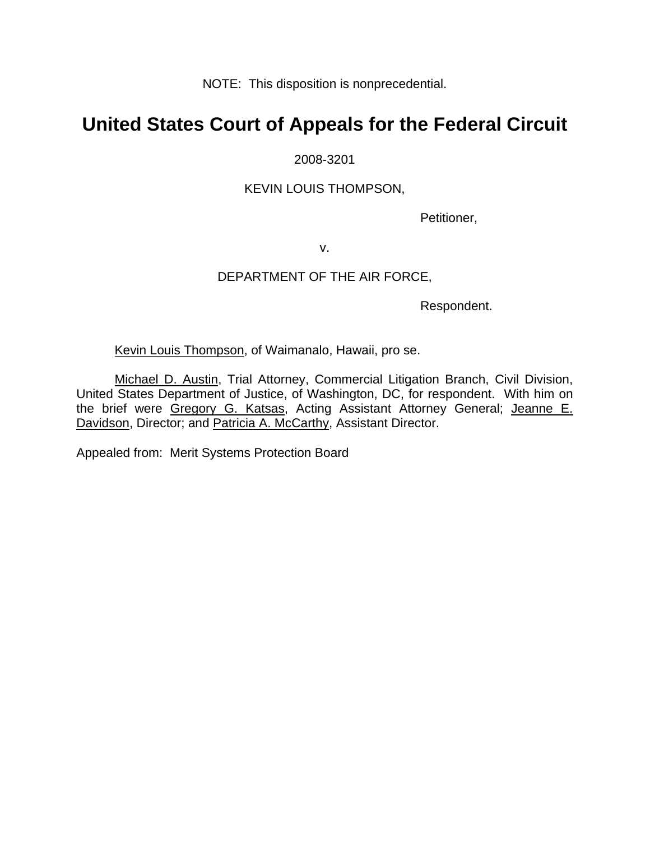NOTE: This disposition is nonprecedential.

# **United States Court of Appeals for the Federal Circuit**

## 2008-3201

## KEVIN LOUIS THOMPSON,

Petitioner,

v.

### DEPARTMENT OF THE AIR FORCE,

Respondent.

Kevin Louis Thompson, of Waimanalo, Hawaii, pro se.

Michael D. Austin, Trial Attorney, Commercial Litigation Branch, Civil Division, United States Department of Justice, of Washington, DC, for respondent. With him on the brief were Gregory G. Katsas, Acting Assistant Attorney General; Jeanne E. Davidson, Director; and Patricia A. McCarthy, Assistant Director.

Appealed from: Merit Systems Protection Board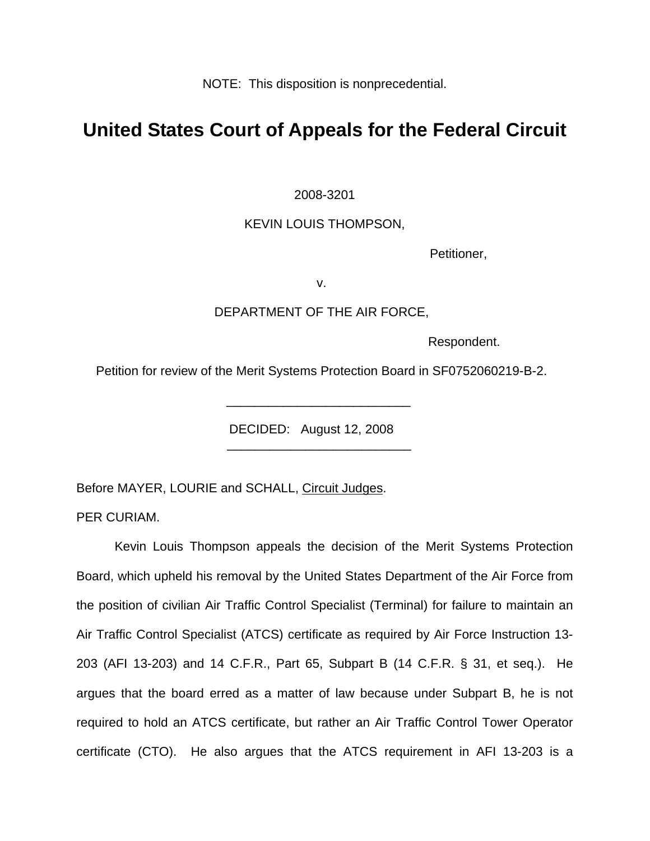NOTE: This disposition is nonprecedential.

# **United States Court of Appeals for the Federal Circuit**

### 2008-3201

### KEVIN LOUIS THOMPSON,

Petitioner,

v.

### DEPARTMENT OF THE AIR FORCE,

Respondent.

Petition for review of the Merit Systems Protection Board in SF0752060219-B-2.

DECIDED: August 12, 2008

Before MAYER, LOURIE and SCHALL, Circuit Judges.

 $\frac{1}{\sqrt{2\pi}}$  ,  $\frac{1}{\sqrt{2\pi}}$  ,  $\frac{1}{\sqrt{2\pi}}$  ,  $\frac{1}{\sqrt{2\pi}}$  ,  $\frac{1}{\sqrt{2\pi}}$  ,  $\frac{1}{\sqrt{2\pi}}$  ,  $\frac{1}{\sqrt{2\pi}}$  ,  $\frac{1}{\sqrt{2\pi}}$  ,  $\frac{1}{\sqrt{2\pi}}$  ,  $\frac{1}{\sqrt{2\pi}}$  ,  $\frac{1}{\sqrt{2\pi}}$  ,  $\frac{1}{\sqrt{2\pi}}$  ,  $\frac{1}{\sqrt{2\pi}}$  ,

 $\frac{1}{\sqrt{2\pi}}$  ,  $\frac{1}{\sqrt{2\pi}}$  ,  $\frac{1}{\sqrt{2\pi}}$  ,  $\frac{1}{\sqrt{2\pi}}$  ,  $\frac{1}{\sqrt{2\pi}}$  ,  $\frac{1}{\sqrt{2\pi}}$  ,  $\frac{1}{\sqrt{2\pi}}$  ,  $\frac{1}{\sqrt{2\pi}}$  ,  $\frac{1}{\sqrt{2\pi}}$  ,  $\frac{1}{\sqrt{2\pi}}$  ,  $\frac{1}{\sqrt{2\pi}}$  ,  $\frac{1}{\sqrt{2\pi}}$  ,  $\frac{1}{\sqrt{2\pi}}$  ,

PER CURIAM.

Kevin Louis Thompson appeals the decision of the Merit Systems Protection Board, which upheld his removal by the United States Department of the Air Force from the position of civilian Air Traffic Control Specialist (Terminal) for failure to maintain an Air Traffic Control Specialist (ATCS) certificate as required by Air Force Instruction 13- 203 (AFI 13-203) and 14 C.F.R., Part 65, Subpart B (14 C.F.R. § 31, et seq.). He argues that the board erred as a matter of law because under Subpart B, he is not required to hold an ATCS certificate, but rather an Air Traffic Control Tower Operator certificate (CTO). He also argues that the ATCS requirement in AFI 13-203 is a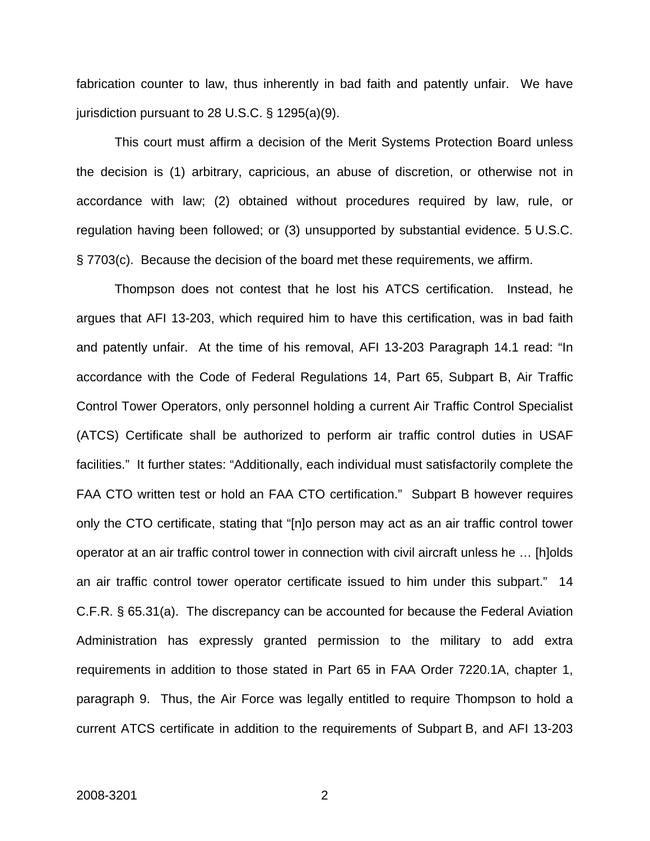fabrication counter to law, thus inherently in bad faith and patently unfair. We have jurisdiction pursuant to 28 U.S.C. § 1295(a)(9).

This court must affirm a decision of the Merit Systems Protection Board unless the decision is (1) arbitrary, capricious, an abuse of discretion, or otherwise not in accordance with law; (2) obtained without procedures required by law, rule, or regulation having been followed; or (3) unsupported by substantial evidence. 5 U.S.C. § 7703(c). Because the decision of the board met these requirements, we affirm.

Thompson does not contest that he lost his ATCS certification. Instead, he argues that AFI 13-203, which required him to have this certification, was in bad faith and patently unfair. At the time of his removal, AFI 13-203 Paragraph 14.1 read: "In accordance with the Code of Federal Regulations 14, Part 65, Subpart B, Air Traffic Control Tower Operators, only personnel holding a current Air Traffic Control Specialist (ATCS) Certificate shall be authorized to perform air traffic control duties in USAF facilities." It further states: "Additionally, each individual must satisfactorily complete the FAA CTO written test or hold an FAA CTO certification." Subpart B however requires only the CTO certificate, stating that "[n]o person may act as an air traffic control tower operator at an air traffic control tower in connection with civil aircraft unless he … [h]olds an air traffic control tower operator certificate issued to him under this subpart." 14 C.F.R. § 65.31(a). The discrepancy can be accounted for because the Federal Aviation Administration has expressly granted permission to the military to add extra requirements in addition to those stated in Part 65 in FAA Order 7220.1A, chapter 1, paragraph 9. Thus, the Air Force was legally entitled to require Thompson to hold a current ATCS certificate in addition to the requirements of Subpart B, and AFI 13-203